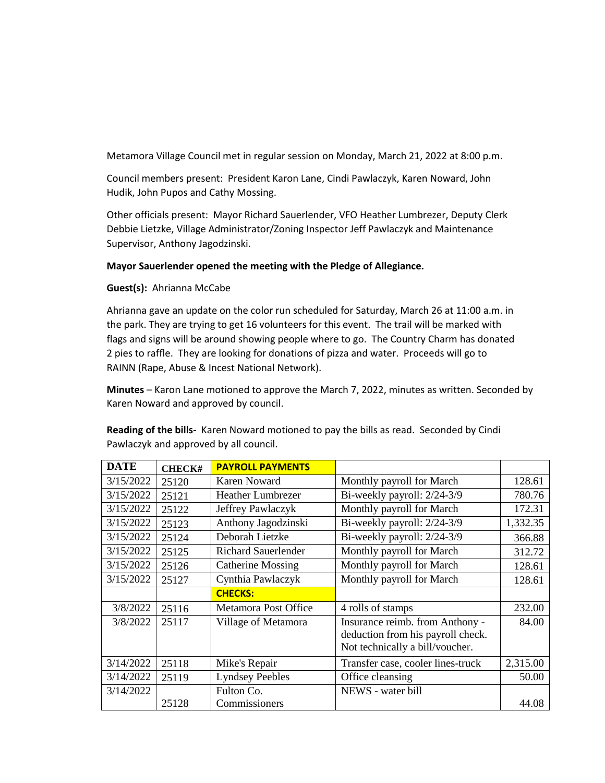Metamora Village Council met in regular session on Monday, March 21, 2022 at 8:00 p.m.

Council members present: President Karon Lane, Cindi Pawlaczyk, Karen Noward, John Hudik, John Pupos and Cathy Mossing.

Other officials present: Mayor Richard Sauerlender, VFO Heather Lumbrezer, Deputy Clerk Debbie Lietzke, Village Administrator/Zoning Inspector Jeff Pawlaczyk and Maintenance Supervisor, Anthony Jagodzinski.

## **Mayor Sauerlender opened the meeting with the Pledge of Allegiance.**

**Guest(s):** Ahrianna McCabe

Ahrianna gave an update on the color run scheduled for Saturday, March 26 at 11:00 a.m. in the park. They are trying to get 16 volunteers for this event. The trail will be marked with flags and signs will be around showing people where to go. The Country Charm has donated 2 pies to raffle. They are looking for donations of pizza and water. Proceeds will go to RAINN (Rape, Abuse & Incest National Network).

**Minutes** – Karon Lane motioned to approve the March 7, 2022, minutes as written. Seconded by Karen Noward and approved by council.

**Reading of the bills-** Karen Noward motioned to pay the bills as read. Seconded by Cindi Pawlaczyk and approved by all council.

| <b>DATE</b> | <b>CHECK#</b> | <b>PAYROLL PAYMENTS</b>    |                                   |          |
|-------------|---------------|----------------------------|-----------------------------------|----------|
| 3/15/2022   | 25120         | Karen Noward               | Monthly payroll for March         | 128.61   |
| 3/15/2022   | 25121         | <b>Heather Lumbrezer</b>   | Bi-weekly payroll: 2/24-3/9       | 780.76   |
| 3/15/2022   | 25122         | Jeffrey Pawlaczyk          | Monthly payroll for March         | 172.31   |
| 3/15/2022   | 25123         | Anthony Jagodzinski        | Bi-weekly payroll: 2/24-3/9       | 1,332.35 |
| 3/15/2022   | 25124         | Deborah Lietzke            | Bi-weekly payroll: 2/24-3/9       | 366.88   |
| 3/15/2022   | 25125         | <b>Richard Sauerlender</b> | Monthly payroll for March         | 312.72   |
| 3/15/2022   | 25126         | <b>Catherine Mossing</b>   | Monthly payroll for March         | 128.61   |
| 3/15/2022   | 25127         | Cynthia Pawlaczyk          | Monthly payroll for March         | 128.61   |
|             |               | <b>CHECKS:</b>             |                                   |          |
| 3/8/2022    | 25116         | Metamora Post Office       | 4 rolls of stamps                 | 232.00   |
| 3/8/2022    | 25117         | Village of Metamora        | Insurance reimb. from Anthony -   | 84.00    |
|             |               |                            | deduction from his payroll check. |          |
|             |               |                            | Not technically a bill/voucher.   |          |
| 3/14/2022   | 25118         | Mike's Repair              | Transfer case, cooler lines-truck | 2,315.00 |
| 3/14/2022   | 25119         | <b>Lyndsey Peebles</b>     | Office cleansing                  | 50.00    |
| 3/14/2022   |               | Fulton Co.                 | NEWS - water bill                 |          |
|             | 25128         | Commissioners              |                                   | 44.08    |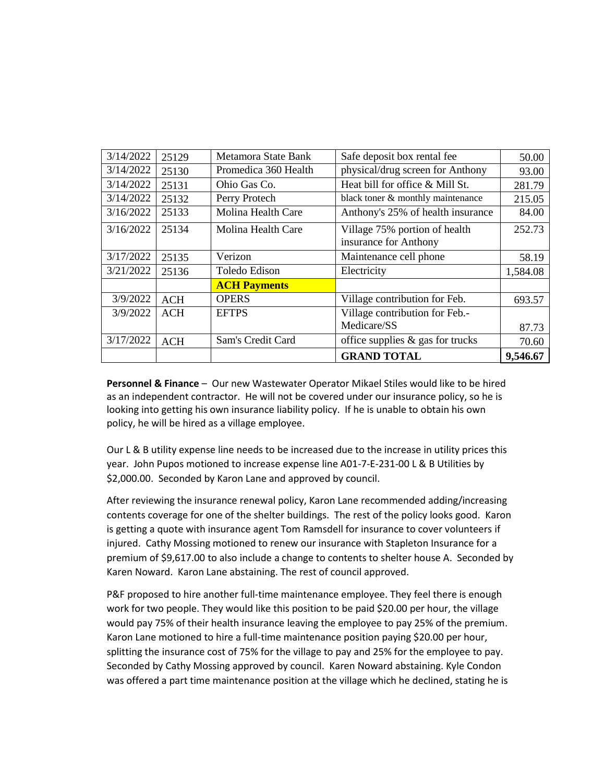| 3/14/2022 | 25129      | Metamora State Bank  | Safe deposit box rental fee                            | 50.00    |
|-----------|------------|----------------------|--------------------------------------------------------|----------|
| 3/14/2022 | 25130      | Promedica 360 Health | physical/drug screen for Anthony                       | 93.00    |
| 3/14/2022 | 25131      | Ohio Gas Co.         | Heat bill for office & Mill St.                        | 281.79   |
| 3/14/2022 | 25132      | Perry Protech        | black toner & monthly maintenance                      | 215.05   |
| 3/16/2022 | 25133      | Molina Health Care   | Anthony's 25% of health insurance                      | 84.00    |
| 3/16/2022 | 25134      | Molina Health Care   | Village 75% portion of health<br>insurance for Anthony | 252.73   |
| 3/17/2022 | 25135      | Verizon              | Maintenance cell phone                                 | 58.19    |
| 3/21/2022 | 25136      | Toledo Edison        | Electricity                                            | 1,584.08 |
|           |            | <b>ACH Payments</b>  |                                                        |          |
| 3/9/2022  | <b>ACH</b> | <b>OPERS</b>         | Village contribution for Feb.                          | 693.57   |
| 3/9/2022  | <b>ACH</b> | <b>EFTPS</b>         | Village contribution for Feb.-                         |          |
|           |            |                      | Medicare/SS                                            | 87.73    |
| 3/17/2022 | <b>ACH</b> | Sam's Credit Card    | office supplies $\&$ gas for trucks                    | 70.60    |
|           |            |                      | <b>GRAND TOTAL</b>                                     | 9,546.67 |

**Personnel & Finance** – Our new Wastewater Operator Mikael Stiles would like to be hired as an independent contractor. He will not be covered under our insurance policy, so he is looking into getting his own insurance liability policy. If he is unable to obtain his own policy, he will be hired as a village employee.

Our L & B utility expense line needs to be increased due to the increase in utility prices this year. John Pupos motioned to increase expense line A01-7-E-231-00 L & B Utilities by \$2,000.00. Seconded by Karon Lane and approved by council.

After reviewing the insurance renewal policy, Karon Lane recommended adding/increasing contents coverage for one of the shelter buildings. The rest of the policy looks good. Karon is getting a quote with insurance agent Tom Ramsdell for insurance to cover volunteers if injured. Cathy Mossing motioned to renew our insurance with Stapleton Insurance for a premium of \$9,617.00 to also include a change to contents to shelter house A. Seconded by Karen Noward. Karon Lane abstaining. The rest of council approved.

P&F proposed to hire another full-time maintenance employee. They feel there is enough work for two people. They would like this position to be paid \$20.00 per hour, the village would pay 75% of their health insurance leaving the employee to pay 25% of the premium. Karon Lane motioned to hire a full-time maintenance position paying \$20.00 per hour, splitting the insurance cost of 75% for the village to pay and 25% for the employee to pay. Seconded by Cathy Mossing approved by council. Karen Noward abstaining. Kyle Condon was offered a part time maintenance position at the village which he declined, stating he is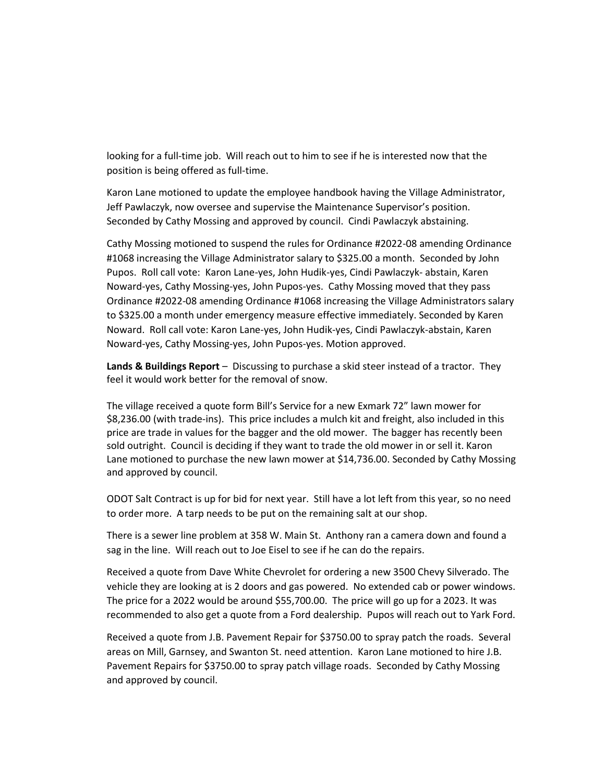looking for a full-time job. Will reach out to him to see if he is interested now that the position is being offered as full-time.

Karon Lane motioned to update the employee handbook having the Village Administrator, Jeff Pawlaczyk, now oversee and supervise the Maintenance Supervisor's position. Seconded by Cathy Mossing and approved by council. Cindi Pawlaczyk abstaining.

Cathy Mossing motioned to suspend the rules for Ordinance #2022-08 amending Ordinance #1068 increasing the Village Administrator salary to \$325.00 a month. Seconded by John Pupos. Roll call vote: Karon Lane-yes, John Hudik-yes, Cindi Pawlaczyk- abstain, Karen Noward-yes, Cathy Mossing-yes, John Pupos-yes. Cathy Mossing moved that they pass Ordinance #2022-08 amending Ordinance #1068 increasing the Village Administrators salary to \$325.00 a month under emergency measure effective immediately. Seconded by Karen Noward. Roll call vote: Karon Lane-yes, John Hudik-yes, Cindi Pawlaczyk-abstain, Karen Noward-yes, Cathy Mossing-yes, John Pupos-yes. Motion approved.

**Lands & Buildings Report** – Discussing to purchase a skid steer instead of a tractor. They feel it would work better for the removal of snow.

The village received a quote form Bill's Service for a new Exmark 72" lawn mower for \$8,236.00 (with trade-ins). This price includes a mulch kit and freight, also included in this price are trade in values for the bagger and the old mower. The bagger has recently been sold outright. Council is deciding if they want to trade the old mower in or sell it. Karon Lane motioned to purchase the new lawn mower at \$14,736.00. Seconded by Cathy Mossing and approved by council.

ODOT Salt Contract is up for bid for next year. Still have a lot left from this year, so no need to order more. A tarp needs to be put on the remaining salt at our shop.

There is a sewer line problem at 358 W. Main St. Anthony ran a camera down and found a sag in the line. Will reach out to Joe Eisel to see if he can do the repairs.

Received a quote from Dave White Chevrolet for ordering a new 3500 Chevy Silverado. The vehicle they are looking at is 2 doors and gas powered. No extended cab or power windows. The price for a 2022 would be around \$55,700.00. The price will go up for a 2023. It was recommended to also get a quote from a Ford dealership. Pupos will reach out to Yark Ford.

Received a quote from J.B. Pavement Repair for \$3750.00 to spray patch the roads. Several areas on Mill, Garnsey, and Swanton St. need attention. Karon Lane motioned to hire J.B. Pavement Repairs for \$3750.00 to spray patch village roads. Seconded by Cathy Mossing and approved by council.